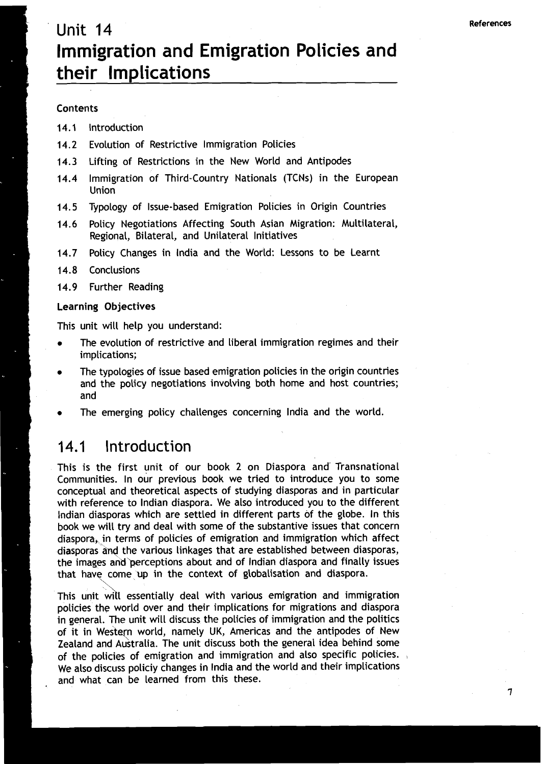## Unit 14 Immigration and Emigration Policies and their Implications

#### Contents

- **14.1** Introduction
- **14.2** Evolution of Restrictive Immigration Policies
- **14.3** Lifting of Restrictions in the New World and Antipodes
- Immigration of Third-Country Nationals (TCNs) in the European  $14.4$ Union
- **14.5** Typology of Issue-based Emigration Policies in Origin Countries
- **14.6** Policy Negotiations Affecting South Asian Migration: Multilateral, Regional, Bilateral, and Unilateral Initiatives
- / **14.7** Policy Changes in lndia and the World: Lessons to be Learnt
- 
- 14.8 Conclusions<br>14.9 Further Reading

#### **Learning Objectives**

This unit will help you understand:

- The evolution of restrictive and liberal immigration regimes and their implications;
- The typologies of issue based emigration policies in the origin countries and the policy negotiations involving both home and host countries; and
- The emerging policy challenges concerning lndia and the world.

#### $14.1$ Introduction

This is the first unit of our book 2 on Diaspora and- Transnational Communities. In our previous book we tried to introduce you to some conceptual and theoretical aspects of studying diasporas and in particular with reference to lndian diaspora. We also introduced you to the different lndian diasporas which are settled in different parts of the globe. In this book we will try and deal with some of the substantive issues that concern diaspora, in terms of policies of emigration and immigration which affect diasporas and the various linkages that are established between diasporas,<br>the images and perceptions about and of Indian diaspora and finally issues<br>that have come up in the context of globalisation and diaspora.<br>This uni the images and perceptions about and of Indian diaspora and finally issues that have come up in the context of globalisation and diaspora.

policies the world over and their implications for migrations and diaspora in general. The unit will discuss the policies of immigration and the politics of it in Western world, namely UK, Americas and the antipodes of New Zealand and Australia. The unit discuss both the general idea behind some of the policies of emigration and immigration and also specific policies.<br>We also discuss policiy changes in India and the world and their implications and what can be learned from this these.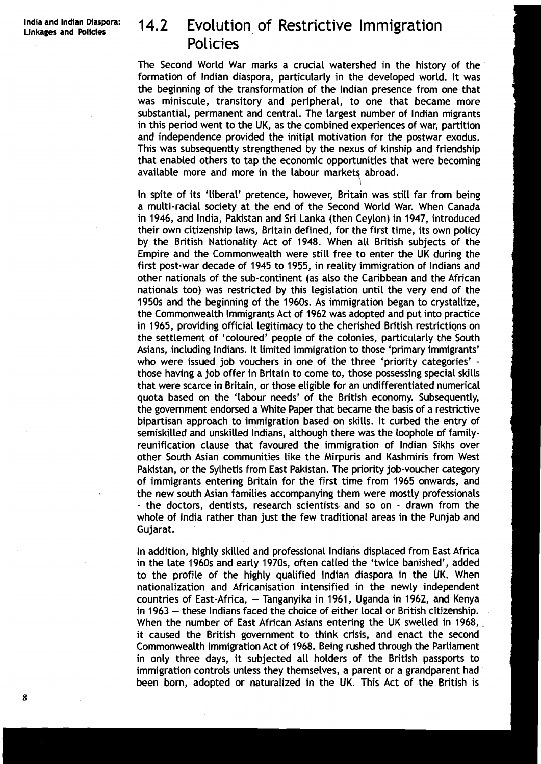# 14.2 Evolution of Restrictive Immigration **Policies**

The Second World War marks a crucial watershed in the history of the formation of lndian diaspora, particularly in the developed world. It was the beginning of the transformation of the lndian presence from one that was miniscule, transitory and peripheral, to one that became more substantial, permanent and central. The largest number of lndian migrants in this period went to the UK, as the combined experiences of war, partition and independence provided the initial motivation for the postwar exodus. This was subsequently strengthened by the nexus of kinship and friendship that enabled others to tap the economic opportunities that were becoming available more and more in the labour markets abroad.

In spite of its 'liberal' pretence, however, Britain was still far from being a multi-racial society at the end of the Second World War. When Canada in 1946, and India, Pakistan and Sri Lanka (then Ceylon) in 1947, introduced their own citizenship laws, Britain defined, for the first time, its own policy by the British Nationality Act of 1948. When all British subjects of the Empire and the Commonwealth were still free to enter the UK during the first post-war decade of 1945 to 1955, in reality immigration of lndians and other nationals of the sub-continent (as also the Caribbean and the African nationals too) was restricted by this legislation until the very end of the 1950s and the beginning of the 1960s. As immigration began to crystallize, the Commonwealth Immigrants Act of 1962 was adopted and put into practice in 1 965, providing official legitimacy to the cherished British restrictions on the settlement of 'coloured' people of the colonies, particularly the South Asians, including Indians. It limited immigration to those 'primary immigrants' who were issued job vouchers in one of the three 'priority categories' those having a job offer in Britain to come to, those possessing special skills that were scarce in Britain, or those eligible for an undifferentiated numerical quota based on the 'labour needs' of the British economy. Subsequently, the government endorsed a White Paper that became the basis of a restrictive bipartisan approach to immigration based on skills. It curbed the entry of semiskilled and unskilled Indians, although there was the loophole of familyreunification clause that favoured the immigration of lndian Sikhs over other South Asian communities like the Mirpuris and Kashmiris from West Pakistan, or the Sylhetis from East Pakistan. The priority job-voucher category of immigrants entering Britain for the first time from 1965 onwards, and the new south Asian families accompanying them were mostly professionals - the doctors, dentists, research scientists and so on - drawn from the whole of lndia rather than just the few traditional areas in the Punjab and Gujarat.

In addition, highly skilled and professional lndians displaced from East Africa in the late 1960s and early 1970s, often called the 'twice banished', added to the profile of the highly qualified lndian diaspora in the UK. When nationalization and Africanisation intensified in the newly independent countries of East-Africa,  $-$  Tanganyika in 1961, Uganda in 1962, and Kenya in 1963 - these lndians faced the choice of either local or British citizenship. When the number of East African Asians entering the UK swelled in 1968, it caused the British government to think crisis, and enact the second Commonwealth Immigration Act of 1968. Being rushed through the Parliament in only three days, it subjected all holders of the British passports to immigration controls unless they themselves, a parent or a grandparent had been born, adopted or naturalized in the UK. This Act of the British is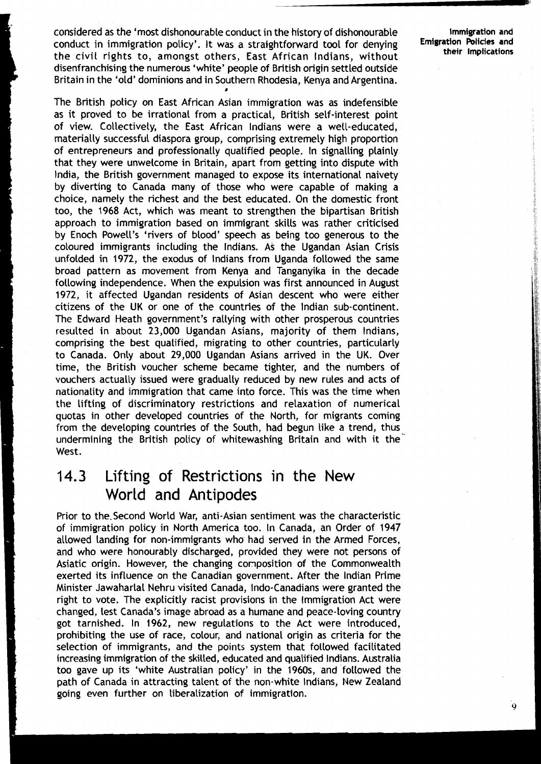considered as the 'most dishonourable conduct in the history of dishonourable **Immigration and**  conduct in immigration policy'. It was a straightforward tool for denying **Emigration Policies and Policies and Policies Policies** the civil rights to, amongst others, East African Indians, without disenfranchising the numerous 'white' people of British origin settled outside Britain in the 'old' dominions and in Southern Rhodesia, Kenya and Argentina. **<sup>I</sup>**

The British policy on East African Asian immigration was as indefensible as it proved to be irrational from a practical, British self-interest point of view. Collectively, the East African lndians were a well-educated, materially successful diaspora group, comprising extremely high proportion of entrepreneurs and professionally qualified people. In signalling plainly that they were unwelcome in Britain, apart from getting into dispute with India, the British government managed to expose its international naivety by diverting to Canada many of those who were capable of making a choice, namely the richest and the best educated. On the domestic front too, the 1968 Act, which was meant to strengthen the bipartisan British approach to immigration based on immigrant skills was rather criticised by Enoch Powell's 'rivers of blood' speech as being too generous to the coloured immigrants including the Indians. As the Ugandan Asian Crisis unfolded in 1972, the exodus of lndians from Uganda followed the same broad pattern as movement from Kenya and Tanganyika in the decade following independence. When the expulsion was first announced in August 1972, it affected Ugandan residents of Asian descent who were either citizens of the UK or one of the countries of the Indian sub-continent. The Edward Heath government's rallying with other prosperous countries resulted in about 23,000 Ugandan Asians, majority of them Indians, comprising the best qualified, migrating to other countries, particularly to Canada. Only about 29,000 Ugandan Asians arrived in the UK. Over time, the British voucher scheme became tighter, and the numbers of vouchers actually issued were gradually reduced by new rules and acts of nationality and immigration that came into force. This was the time when the lifting of discriminatory restrictions and relaxation of numerical quotas in other developed countries of the North, for migrants coming from the developing countries of the South, had begun like a trend, thus undermining the British policy of whitewashing Britain and with it the' West.

### 14.3 Lifting of Restrictions in the New World and Antipodes

Prior to the Second World War, anti-Asian sentiment was the characteristic of immigration policy in North America too. In Canada, an Order of 1947 allowed landing for non-immigrants who had served in the Armed Forces, and who were honourably discharged, provided they were not persons of Asiatic origin. However, the changing composition of the Commonwealth exerted its influence on the Canadian government. After the Indian Prime Minister Jawaharlal Nehru visited Canada, Indo-Canadians were granted the right to vote. The explicitly racist provisions in the lmmigration Act were i changed, lest Canada's image abroad as a humane and peace-loving country got tarnished. In 1962, new regulations to the Act were introduced, prohibiting the use of race, colour, and national origin as criteria for the selection of immigrants, and the points system that followed facilitated increasing immigration of the skilled, educated and qualified Indians. Australia too gave up its 'white Australian policy' in the 1960s, and followed the path of Canada in attracting talent of the non-white Indians, New Zealand going even further on liberalization of immigration.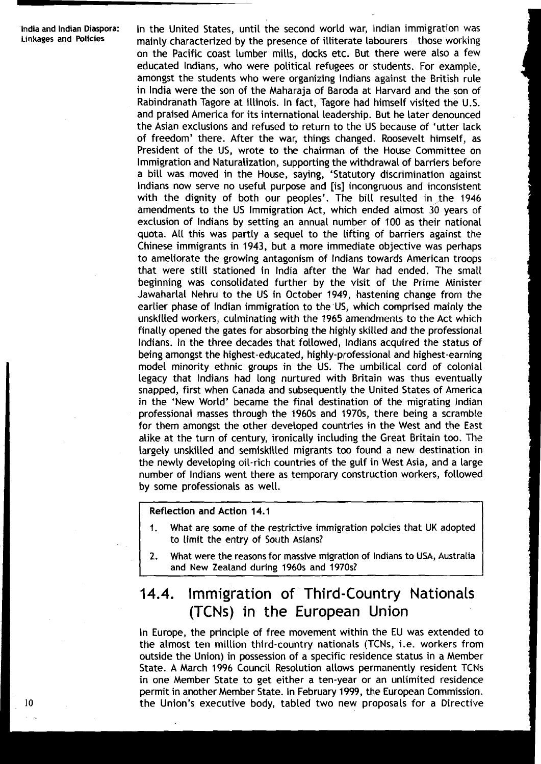lndia and lndian Diaspora: In the United States, until the second world war, lndian immigration was mainly characterized by the presence of illiterate labourers - those working on the Pacific coast lumber mills, docks etc. But there were also a few educated Indians, who were political refugees or students. For example, amongst the students who were organizing lndians against the British rule in lndia were the son of the Maharaja of Baroda at Harvard and the son of Rabindranath Tagore at Illinois. In fact, Tagore had himself visited the U.S. and praised America for its international leadership. But he later denounced the Asian exclusions and refused to return to the US because of 'utter lack of freedom' there. After the war, things changed. Roosevelt himself, as President of the US, wrote to the chairman of the House Committee on lmmigration and Naturalization, supporting the withdrawal of barriers before a bill was moved in the House, saying, 'Statutory discrimination against lndians now serve no useful purpose and [is] incongruous and inconsistent with the dignity of both our peoples'. The bill resulted in the 1946 amendments to the US lmmigration Act, which ended almost 30 years of exclusion of lndians by setting an annual number of 100 as their national quota. All this was partly a sequel to the lifting of barriers against the Chinese immigrants in 1943, but a more immediate objective was perhaps to ameliorate the growing antagonism of lndians towards American troops that were still stationed in lndia after the War had ended. The small beginning was consolidated further by the visit of the Prime Minister Jawaharlal Nehru to the US in October 1949, hastening change from the earlier phase of lndian immigration to the US, which comprised mainly the unskilled workers, culminating with the 1965 amendments to the Act which finally opened the gates for absorbing the highly skilled and the professional Indians. In the three decades that followed, lndians acquired the status of being amongst the highest-educated, highly-professional and highest-earning model minority ethnic groups in the US. The umbilical cord of colonial legacy that lndians had long nurtured with Britain was thus eventually snapped, first when Canada and subsequently the United States of America in the 'New World' became the final destination of the migrating lndian professional masses through the 1960s and 1970s, there being a scramble for them amongst the other developed countries in the West and the East alike at the turn of century, ironically including the Great Britain too. The largely unskilled and semiskilled migrants too found a new destination in the newly developing oil-rich countries of the gulf in West Asia, and a large number of lndians went there as temporary construction workers, followed by some professionals as well.

#### Reflection and Action 14.1

- 1. What are some of the restrictive immigration polcies that UK adopted to limit the entry of South Asians?
- **2.** What were the reasons for massive migration of lndians to USA, Australia and New Zealand during 1960s and 1970s?

### **14.4.** lmmigration of Third-Country Nationals (TCNs) in the European Union

In Europe, the principle of free movement within the EU was extended to the almost ten million third-country nationals (TCNs, i.e. workers from outside the Union) in possession of a specific residence status in a Member State. A March 1996 Council Resolution allows permanently resident TCNs in one Member State to get either a ten-year or an unlimited residence permit in another Member State. In February 1999, the European Commission. the Union's executive body, tabled two new proposals for a Directive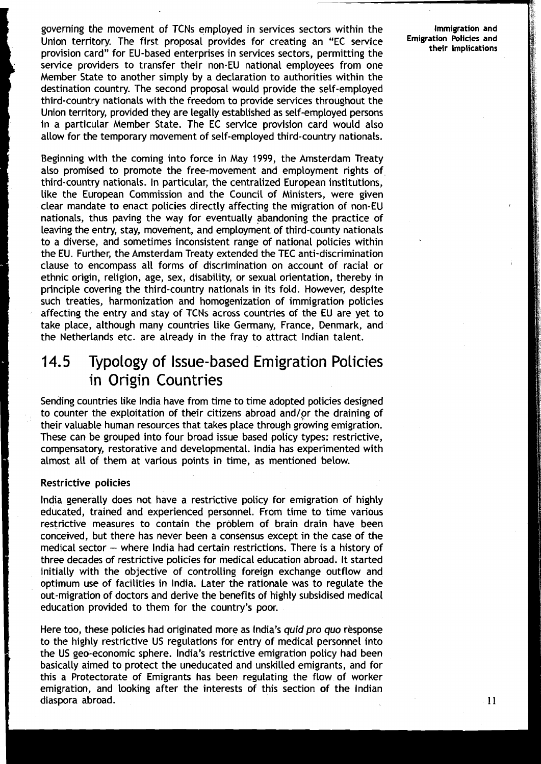governing the movement of TCNs employed in services sectors within the Union territory. The first proposal provides for creating an "EC service provision card" for EU-based enterprises in services sectors, permitting the service providers to transfer their non-EU national employees from one Member State to another simply by a declaration to authorities within the destination country. The second proposal would provide the self-employed third-country nationals with the freedom to provide services throughout the Union territory, provided they are legally established as self-employed persons in a particular Member State. The EC service provision card would also allow for the temporary movement of self-employed third-country nationals.

Beginning with the coming into force in May 1999, the Amsterdam Treaty also promised to promote the free-movement and employment rights of third-country nationals. In particular, the centralized European institutions, like the European Commission and the Council of Ministers, were given clear mandate to enact policies directly affecting the migration of non-EU nationals, thus paving the way for eventually abandoning the practice of leaving the entry, stay, movement, and employment of third-county nationals to a diverse, and sometimes inconsistent range of national policies within the EU. Further, the Amsterdam Treaty extended the TEC anti-discrimination clause to encompass all forms of discrimination on account of racial or ethnic origin, religion, age, sex, disability, or sexual orientation, thereby in principle covering the third-country nationals in its fold. However, despite such treaties, harmonization and homogenization of immigration policies affecting the entry and stay of TCNs across countries of the EU are yet to take place, although many countries like Germany, France, Denmark, and the Netherlands etc. are already in the fray to attract Indian talent.

### **14.5** Typology of Issue-based Emigration Policies in Origin Countries

Sending countries like lndia have from time to time adopted policies designed to counter the exploitation of their citizens abroad and/or the draining of their valuable human resources that takes place through growing emigration. These can be grouped into four broad issue based policy types: restrictive, compensatory, restorative and developmental. lndia has experimented with almost all of them at various points in time, as mentioned below.

### Restrictive policies

lndia generally does not have a restrictive policy for emigration of highly educated, trained and experienced personnel. From time to time various restrictive measures to contain the problem of brain drain have been conceived, but there has never been a consensus except in the case of the medical sector  $-$  where India had certain restrictions. There is a history of three decades of restrictive policies for medical education abroad. It started initially with the objective of controlling foreign exchange outflow and optimum use of facilities in India. Later the rationale was to regulate the out-migration of doctors and derive the benefits of highly subsidised medical education provided to them for the country's poor.

Here too, these policies had originated more as India's **quid pro quo** response to the highly restrictive US regulations for entry of medical personnel into the US geo-economic sphere. India's restrictive emigration policy had been basically aimed to protect the uneducated and unskilled emigrants, and for this a Protectorate of Emigrants has been regulating the flow of worker emigration, and looking after the interests of this section of the Indian diaspora abroad.

**Immigration and Emigration Policies and their Implications**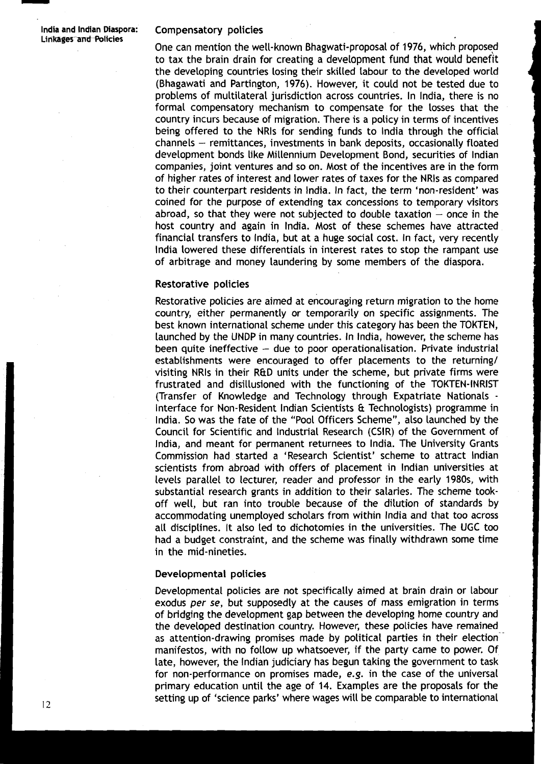#### **Li ntnrges-an6Policies** Compensatory policies

One can mention the well-known Bhagwati-proposal of 1976, which proposed to tax the brain drain for creating a development fund that would benefit the developing countries losing their skilled labour to the developed world (Bhagawati and Partington, 1976). However, it could not be tested due to problems of multilateral jurisdiction across countries. In India, there is no formal compensatory mechanism to compensate for the losses that the country incurs because of migration. There is a policy in terms of incentives being offered to the NRls for sending funds to lndia through the official  $channels - remittances, investments in bank deposits, occasionally floated$ development bonds like Millennium Development Bond, securities of lndian companies, joint ventures and so on. Most of the incentives are in the form of higher rates of interest and lower rates of taxes for the NRls as compared to their counterpart residents in India. In fact, the term 'non-resident' was coined for the purpose of extending tax concessions to temporary visitors abroad, so that they were not subjected to double taxation  $-$  once in the host country and again in India. Most of these schemes have attracted financial transfers to India, but at a huge social cost. In fact, very recently lndia lowered these differentials in interest rates to stop the rampant use of arbitrage and money laundering by some members of the diaspora.

#### **Restorative policies**

Restorative policies are aimed at encouraging return migration to the home country, either permanently or temporarily on specific assignments. The best known international scheme under this category has been the TOKTEN, launched by the LlNDP in many countries. In India, however, the scheme has been quite ineffective  $-$  due to poor operationalisation. Private industrial establishments were encouraged to offer placements to the returning/ visiting NRIs in their R&D units under the scheme, but private firms were frustrated and disillusioned with the functioning of the TOKTEN-INRIST (Transfer of Knowledge and Technology through Expatriate Nationals - Interface for Non-Resident lndian Scientists & Technologists) programme in India. So was the fate of the "Pool Officers Scheme", also launched by the Council for Scientific and Industrial Research (CSIR) of the Government of India, and meant for permanent returnees to India. The University Grants Commission had started a 'Research Scientist' scheme to attract lndian scientists from abroad with offers of placement in lndian universities at levels parallel to lecturer, reader and professor in the early 1980s, with substantial research grants in addition to their salaries. The scheme tookoff well, but ran into trouble because of the dilution of standards by accommodating unemployed scholars from within lndia and that too across all disciplines. It also led to dichotomies in the universities. The UGC too had a budget constraint, and the scheme was finally withdrawn some time in the mid-nineties.

#### Developmental policies

Developmental policies are not specifically aimed at brain drain or labour exodus per se, but supposedly at the causes of mass emigration in terms of bridging the development gap between the developing home country and the developed destination country. However, these policies have remained as attention-drawing promises made by political parties in their election manifestos, with no follow up whatsoever, if the party came to power. Of late, however, the lndian judiciary has begun taking the government to task for non-performance on promises made, e.g. in the case of the universal primary education until the age of 14. Examples are the proposals for the setting up of 'science parks' where wages will be comparable to international 12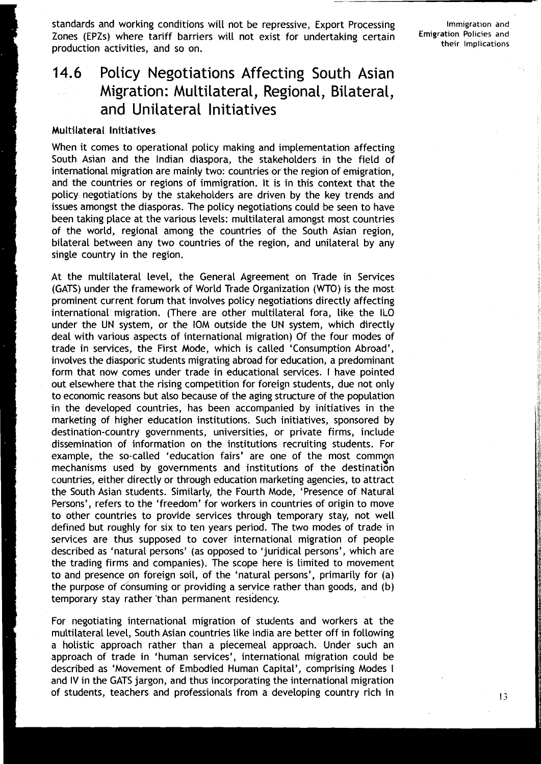standards and working conditions will not be repressive, Export Processing Zones (EPZs) where tariff barriers will not exist for undertaking certain production activities, and so on.

**Immigration and Emigration Policies and their Implications** 

### **14.6** Policy Negotiations Affecting South Asian Migration: Multilateral, Regional, Bilateral, and Unilateral lnitiatives

#### Multilateral Initiatives

When it comes to operational policy making and implementation affecting South Asian and the Indian diaspora, the stakeholders in the field of international migration are mainly two: countries or the region of emigration, and the countries or regions of immigration. It is in this context that the policy negotiations by the stakeholders are driven by the key trends and issues amongst the diasporas. The policy negotiations could be seen to have been taking place at the various levels: multilateral amongst most countries of the world, regional among the countries of the South Asian region, bilateral between any two countries of the region, and unilateral by any single country in the region.

At the multilateral level, the General Agreement on Trade in Services (GATS) under the framework of World Trade Organization (WTO) is the most prominent current forum that involves policy negotiations directly affecting international migration. (There are other multilateral fora, like the ILO under the UN system, or the IOM outside the UN system, which directly deal with various aspects of international migration) Of the four modes of trade in services, the First Mode, which is called 'Consumption Abroad', involves the diasporic students migrating abroad for education, a predominant form that now comes under trade in educational services. I have pointed out elsewhere that the rising competition for foreign students, due not only to economic reasons but also because of the aging structure of the population in the developed countries, has been accompanied by initiatives in the marketing of higher education institutions. Such initiatives, sponsored by destination-country governments, universities, or private firms, include dissemination of information on the institutions recruiting students. For example, the so-called 'education fairs' are one of the most commgn mechanisms used by governments and institutions of the destination countries, either directly or through education marketing agencies, to attract the South Asian students. Similarly, the Fourth Mode, 'Presence of Natural Persons', refers to the 'freedom' for workers in countries of origin to move to other countries to provide services through temporary stay, not well defined but roughly for six to ten years period. The two modes of trade in services are thus supposed to cover international migration of people described as 'natural persons' (as opposed to 'juridical persons', which are the trading firms and companies). The scope here is limited to movement to and presence on foreign soil, of the 'natural persons', primarily for (a) the purpose of consuming or providing a service rather than goods, and (b) temporary stay rather 'than permanent residency.

For negotiating international migration of students and workers at the multilateral level, South Asian countries like India are better off in following a holistic approach rather than a piecemeal approach. Under such an approach of trade in 'human services', interriational migration could be described as 'Movement of Embodied Human Capital', comprising Modes I and IV in the GATS jargon, and thus incorporating the international migration of students, teachers and professionals from a developing country rich in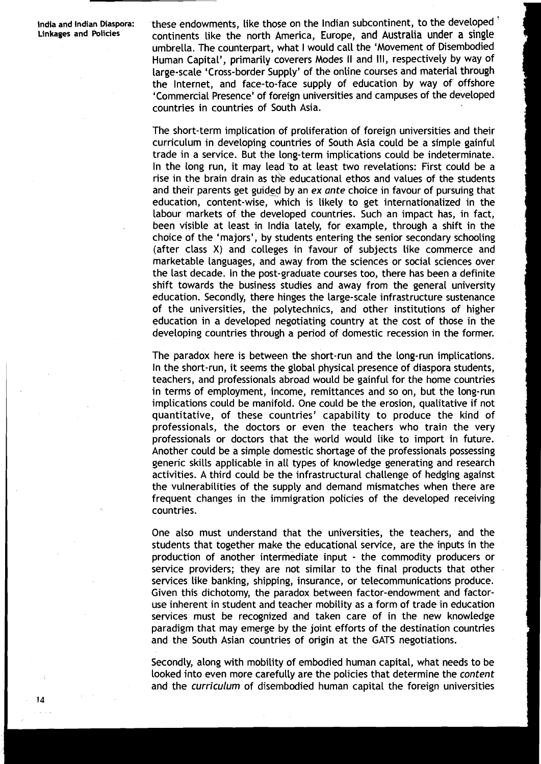**lndia and Indian Diaspora: Linkages and Policies** 

these endowments, like those on the Indian subcontinent, to the developed ' continents like the north America, Europe, and Australia under a single umbrella. The counterpart, what I would call the 'Movement of Disembodied Human Capital', primarily coverers Modes II and Ill, respectively by way of large-scale 'Cross-border Supply' of the online courses and material through the Internet, and face-to-face supply of education by way of' offshore 'Commercial Presence' of foreign universities and campuses of the developed countries in countries of South Asia.

The short-term implication of proliferation of foreign universities and their curriculum in developing countries of South Asia could be a simple gainful trade in a service. But the long-term implications could be indeterminate. In the long run, it may lead to at least two revelations: First could be a rise in the brain drain as the educational ethos and values of the students and their parents get guided by an *ex ante* choice in favour of pursuing that education, content-wise, which is likely to get internationalized in the labour markets of the developed countries. Such an impact has, in fact, been visible at least in lndia lately, for example, through a shift in the choice of the 'majors', by students entering the senior secondary schooling (after class X) and colleges in favour of subjects like commerce and marketable languages, and away from the sciences or social sciences over the last decade. In the post-graduate courses too, there has been a definite shift towards the business studies and away from the general university education. Secondly, there hinges the Large-scale infrastructure sustenance of the universities, the polytechnics, and other institutions of higher education in a developed negotiating country at the cost of those in the developing countries through a period of domestic recession in the former.

The paradox here is between the short-run and the Long-run implications. In the short-run, it seems the global physical presence of diaspora students, teachers, and professionals abroad would be gainful for the home countries in terms of employment, income, remittances and so on, but the long-run implications could be manifold. One could be the erosion, qualitative if not quantitative, of these countries' capability to produce the kind of professionals, the doctors or even the teachers who train the very professionals or doctors that the world would Like to import in future. Another could be a simple domestic shortage of the professionals possessing generic skills applicable in all types of knowledge generating and research activities. A third could be the infrastructural challenge of hedging against the vulnerabilities of the supply and demand mismatches when there are frequent changes in the immigration policies of the developed receiving countries.

One also must understand that the universities, the teachers, and the students that together make the educational service, are the inputs in the production of another intermediate input - the commodity producers or service providers; they are not similar to the final products that other services like banking, shipping, insurance, or telecommunications produce. Given this dichotomy, the paradox between factor-endowment and factoruse inherent in student and teacher mobility as a form of trade in education services must be recognized and taken care of in the new knowledge paradigm that may emerge by the joint efforts of the destination countries and the South Asian countries of origin at the GATS negotiations.

Secondly, along with mobility of embodied human capital, what needs to be Looked into even more carefully are the policies that determine the *content*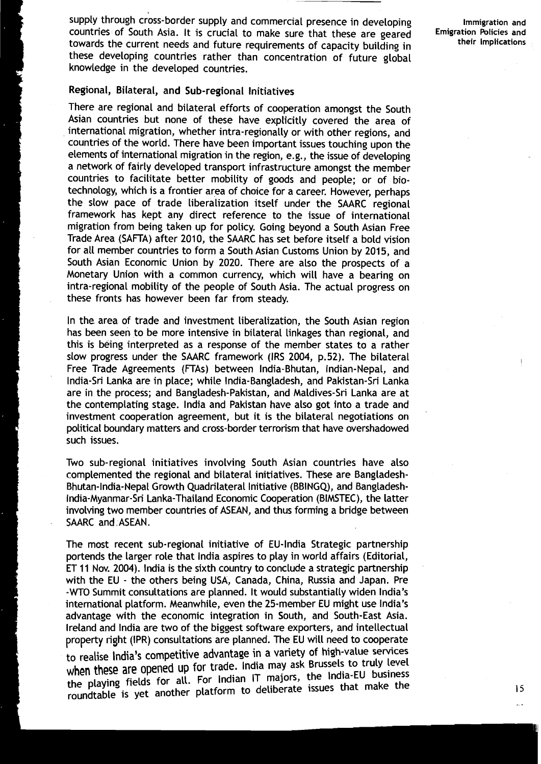supply through cross-border supply and commercial presence in developing **Immigration and**<br> **Immigration** Policies and **Interpretent in the analysis of the and interpretent countries of South Asia It is crucial to make sur** countries of South Asia. It is crucial to make sure that these are geared **Emigration Policies and**  towards the current needs and future requirements of capacity building in these developing countries rather than concentration of future global knowledge in the developed countries.

#### Regional, Bilateral, and Sub-regional Initiatives

There are regional and bilateral efforts of cooperation amongst the South Asian countries but none of these have explicitly covered the area of international migration, whether intra-regionally or with other regions, and countries of the world. There have been important issues touching upon the elements of international migration in the region, e.g., the issue of developing a network of fairly developed transport infrastructure amongst the member countries to facilitate better mobility of goods and people; or of biotechnology, which is a frontier area of choice for a career. However, perhaps the slow pace of trade liberalization itself under the SAARC regional framework has kept any direct reference to the issue of international migration from being taken up for policy. Going beyond a South Asian Free Trade Area (SAFTA) after 2010, the SAARC has set before itself a bold vision for all member countries to form a South Asian Customs Union by 2015, and South Asian Economic Union by 2020. There are also the prospects of a Monetary Union with a common currency, which will have a bearing on intra-regional mobility of the people of South Asia. The actual progress on these fronts has however been far from steady.

In the area of trade and investment liberalization, the South Asian region has been seen to be more intensive in bilateral linkages than regional, and this is being interpreted as a response of the member states to a rather slow progress under the SAARC framework (IRS 2004, p.52). The bilateral Free Trade Agreements (FTAs) between India-Bhutan, Indian-Nepal, and India-Sri Lanka are in place; while India-Bangladesh, and Pakistan-Sri Lanka are in the process; and Bangladesh-Pakistan, and Maldives-Sri Lanka are at the contemplating stage. lndia and Pakistan have also got into a trade and investment cooperation agreement, but it is the bilateral negotiations on political boundary matters and cross-border terrorism that have overshadowed such issues.

Two sub-regional initiatives involving South Asian countries have also complemented the regional and bilateral initiatives. These are Bangladesh-Bhutan-India-Nepal Growth Quadrilateral Initiative (BBINGQ), and Bangladesh-India-Myanmar-Sri Lanka-Thailand Economic Cooperation (BIMSTEC), the latter involving two member countries of ASEAN, and thus forming a bridge between SAARC and ASEAN.

The most recent sub-regional initiative of EU-India Strategic partnership portends the larger role that lndia aspires to play in world affairs (Editorial, ET 11 Nov. 2004). India is the sixth country to conclude a strategic partnership with the EU - the others being USA, Canada, China, Russia and Japan. Pre **-WTO** Summit consultations are planned. It would substantially widen India's international platform. Meanwhile, even the 25-member EU might use India's advantage with the economic integration in South, and South-East Asia. Ireland and lndia are two of the biggest software exporters, and intellectual property right (IPR) consultations are planned. The EU will need to cooperate to realise India's competitive advantage in a variety of high-value services when these are opened up for trade. India may ask Brussels to truly level the playing fields for all. For Indian IT majors, the India-EU business roundtable is yet another platform to deliberate issues that make the **<sup>15</sup>**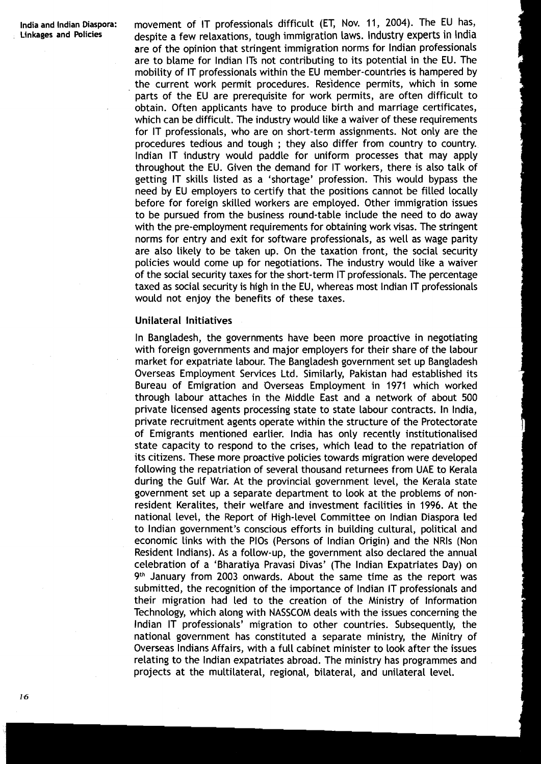**lndia and lndian Diaspora:** movement of IT professionals difficult (ET, Nov. 11, 2004). The EU has, despite a few relaxations, tough immigration laws. Industry experts in India are of the opinion that stringent immigration norms for lndian professionals are to blame for lndian ITS not contributing to its potential in the EU. The mobility of IT professionals within the EU member-countries is hampered by the current work permit procedures. Residence permits, which in some parts of the EU are prerequisite for work permits, are often difficult to obtain. Often applicants have to produce birth and marriage certificates, which can be difficult. The industry would like a waiver of these requirements for IT professionals, who are on short-term assignments. Not only are the procedures tedious and tough ; they also differ from country to country. lndian IT industry would paddle for uniform processes that may apply throughout the EU. Given the demand for IT workers, there is also talk of getting IT skills listed as a 'shortage' profession. This would bypass the need by EU employers to certify that the positions cannot be filled locally before for foreign skilled workers are employed. Other immigration issues to be pursued from the business round-table include the need to do away with the pre-employment requirements for obtaining work visas. The stringent norms for entry and exit for software professionals, as well as wage parity are also likely to be taken up. On the taxation front, the social security policies would come up for negotiations. The industry would like a waiver of the social security taxes for the short-term IT professionals. The percentage taxed as social security is high in the EU, whereas most lndian IT professionals would not enjoy the benefits of these taxes.

#### Unilateral Initiatives

In Bangladesh, the governments have been more proactive in negotiating with foreign governments and major employers for their share of the labour market for expatriate labour. The Bangladesh government set up Bangladesh Overseas Employment Services Ltd. Similarly, Pakistan had established its Bureau of Emigration and Overseas Employment in 1971 which worked through labour attaches in the Middle East and a network of about 500 private Licensed agents processing state to state Labour contracts. In India, private recruitment agents operate within the structure of the Protectorate of Emigrants mentioned earlier. lndia has only recently institutionalised state capacity to respond to the crises, which lead to the repatriation of its citizens. These more proactive policies towards migration were developed following the repatriation of several thousand returnees from UAE to Kerala during the Gulf War. At the provincial government level, the Kerala state government set up a separate department to look at the problems of nonresident Keralites, their welfare and investment facilities in 1996. At the national level, the Report of High-level Committee on lndian Diaspora led to lndian government's conscious efforts in building cultural, political and economic links with the PlOs (Persons of lndian Origin) and the NRls (Non Resident Indians). As a follow-up, the government also declared the annual celebration of a 'Bharatiya Pravasi Divas' (The lndian Expatriates Day) on 9th January from 2003 onwards. About the same time as the report was submitted, the recognition of the importance of lndian IT professionals and their migration had led to the creation of the Ministry of Information Technology, which along with NASSCOM deals with the issues concerning the lndian IT professionals' migration to other countries. Subsequently, the national government has constituted a separate ministry, the Minitry of Overseas Indians Affairs, with a full cabinet minister to Look after the issues relating to the lndian expatriates abroad. The ministry has programmes and projects at the multilateral, regional, bilateral, and unilateral level.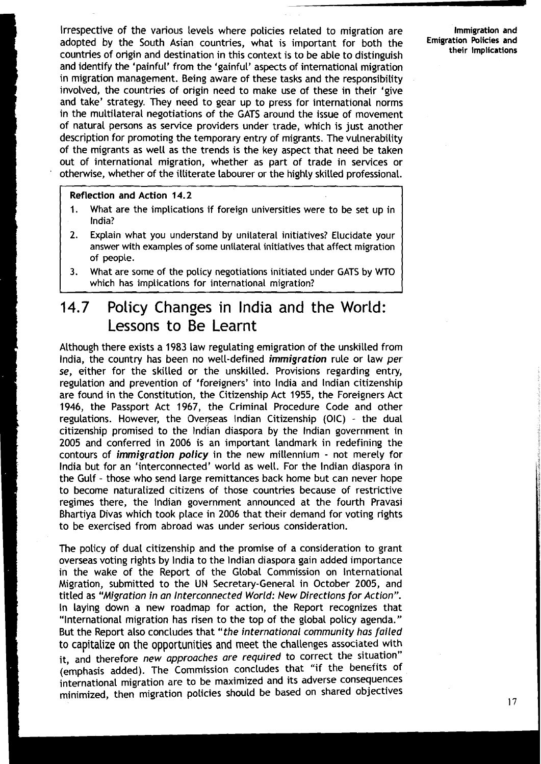Irrespective of the various Levels where policies related to migration are **Immigration and**  adopted by the South Asian countries, what is important for both the **Emigration Policies and**  countries of origin and destination in this context is to be able to distinguish **their Implications**  and identify the 'painful' from the 'gainful' aspects of international migration in migration management. Being aware of these tasks and the responsibility involved, the countries of origin need to make use of these in their 'give and take' strategy. They need to gear up to press for international norms in the multilateral negotiations of the GATS around the issue of movement of natural persons as service providers under trade, which is just another description for promoting the temporary entry of migrants. The vulnerability of the migrants as well as the trends is the key aspect that need be taken out of international migration, whether as part of trade in services or otherwise, whether of the illiterate labourer or the highly skilled professional.

#### Reflection and Action 14.2

- 1. What are the implications if foreign universities were to be set up in India?
- **2.** Explain what you understand by unilateral initiatives? Elucidate your answer with examples of some unilateral initiatives that affect migration of people.
- **3.** What are some of the policy negotiations initiated under GATS by **WTO**  which has implications for international migration?

### **14.7** Policy Changes in lndia and the World: Lessons to Be Learnt

Although there exists a 1983 law regulating emigration of the unskilled from India, the country has been no well-defined immigration rule or law per se, either for the skilled or the unskilled. Provisions regarding entry, regulation and prevention of 'foreigners' into lndia and lndian citizenship are found in the Constitution, the Citizenship Act 1955, the Foreigners Act 1946, the Passport Act 1967, the Criminal Procedure Code and other regulations. However, the Overseas Indian Citizenship (OIC) - the dual citizenship promised to the lndian diaspora by the lndian government in 2005 and conferred in 2006 is an important landmark in redefining the contours of immigration policy in the new millennium - not merely for lndia but for an "interconnected' world as well. For the lndian diaspora in the Gulf - those who send large remittances back home but can never hope to become naturalized citizens of those countries because of restrictive regimes there, the lndian government announced at the fourth Pravasi Bhartiya Divas which took place in 2006 that their demand for voting rights to be exercised from abroad was under serious consideration.

The policy of dual citizenship and the promise of a consideration to grant overseas voting rights by lndia to the lndian diaspora gain added importance in the wake of the Report of the Global Commission on lnternational Migration, submitted to the UN Secretary-General in October 2005, and titled as "Migration in an Interconnected World: New Directions for Action". In laying down a new roadmap for action, the Report recognizes that "lnternational migration has risen to the top of the global policy agenda." But the Report also concludes that "the international community has failed to capitalize on the opportunities and meet the challenges associated with it, and therefore new approaches are required to correct the situation" (emphasis added). The Commission concludes that "if the benefits of international migration are to be maximized and its adverse consequences minimized, then migration policies should be based On shared objectives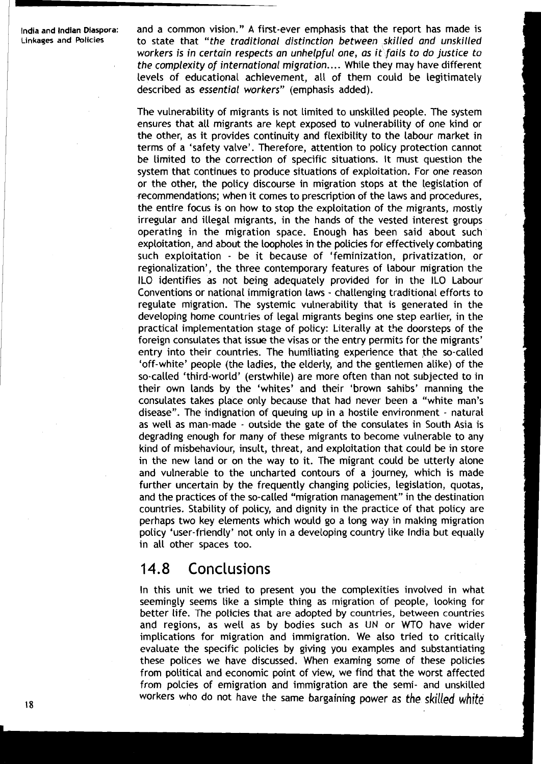**India and Indian Diaspora:** and a common vision." A first-ever emphasis that the report has made is **Linkaqes and Policies** to state that **"the traditional distinction between skilled and unskilled workers is in certain respects an unhelpful one, as it fails to do justice to the complexity of international migration.** .. . While they may have different levels of educational achievement, all of them could be legitimately described as **essential workers"** (emphasis added).

> The vulnerability of migrants is not limited to unskilled people. The system ensures that all migrants are kept exposed to vulnerability of one kind or the other, as it provides continuity and flexibility to the labour market in terms of a 'safety valve'. Therefore, attention to policy protection cannot be limited to the correction of specific situations. It must question the system that continues to produce situations of exploitation. For one reason or the other, the policy discourse in migration stops at the legislation of recommendations; when it comes to prescription of the laws and procedures, the entire focus is on how to stop the exploitation of the migrants, mostly irregular and illegal migrants, in the hands of the vested interest groups operating in the migration space. Enough has been said about such exploitation, and about the loopholes in the policies for effectively combating such exploitation - be it because of 'feminization, privatization, or regionalization', the three contemporary features of labour migration the ILO identifies as not being adequately provided for in the ILO Labour Conventions or national immigration laws - challenging traditional efforts to regulate migration. The systemic vulnerability that is generated in the developing home countries of legal migrants begins one step earlier, in the practical implementation stage of policy: Literally at the doorsteps of the foreign consulates that issue the visas or the entry permits for the migrants' entry into their countries. The humiliating experience that the so-called 'off-white' people (the ladies, the elderly, and the gentlemen alike) of the so-called 'third-world' (erstwhile) are more often than not subjected to in their own lands by the 'whites' and their 'brown sahibs' manning the consulates takes place only because that had never been a "white man's disease". The indignation of queuing up in a hostile environment - natural as well as man-made - outside the gate of the consulates in South Asia is degrading enough for many of these migrants to become vulnerable to any kind of misbehaviour, insult, threat, and exploitation that could be in store in the new land or on the way to it. The migrant could be utterly alone and vulnerable to the uncharted contours of a journey, which is made further uncertain by the frequently changing policies, legislation, quotas, and the practices of the so-called "migration management" in the destination countries. Stability of policy, and dignity in the practice of that policy are perhaps two key elements which would go a long way in making migration policy 'user-friendly' not only in a developing country like India but equally in all other spaces too.

### 14.8 Conclusions

In this unit we tried to present you the complexities involved in what seemingly seems like a simple thing as migration of people, looking for better life. The policies that are adopted by countries, between countries and regions, as well as by bodies such as UN or WTO have wider implications for migration and immigration. We also tried to critically evaluate the specific policies by giving you examples and substantiating these polices we have discussed. When examing some of these policies from political and economic point of view, we find that the worst affected from polcies of emigration and immigration are the semi- and unskilled workers who do not have the same bargaining power as the skilled white